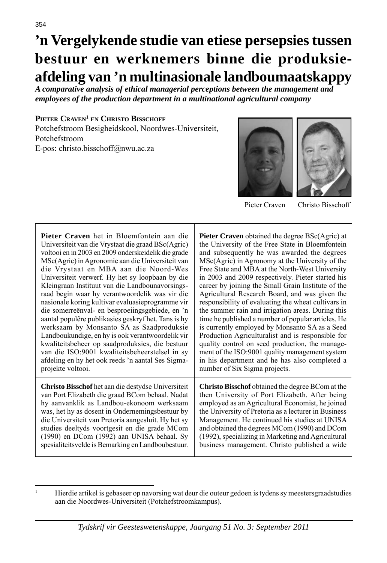# **'n Vergelykende studie van etiese persepsies tussen bestuur en werknemers binne die produksieafdeling van 'n multinasionale landboumaatskappy**

*A comparative analysis of ethical managerial perceptions between the management and employees of the production department in a multinational agricultural company* 

#### **PIETER CRAVEN1 EN CHRISTO BISSCHOFF**

Potchefstroom Besigheidskool, Noordwes-Universiteit, Potchefstroom E-pos: christo.bisschoff@nwu.ac.za





Pieter Craven Christo Bisschoff

| Pieter Craven het in Bloemfontein aan die           | <b>Pieter Craven</b> obtained the degree BSc(Agric) at  |  |
|-----------------------------------------------------|---------------------------------------------------------|--|
| Universiteit van die Vrystaat die graad BSc(Agric)  | the University of the Free State in Bloemfontein        |  |
| voltooi en in 2003 en 2009 onderskeidelik die grade | and subsequently he was awarded the degrees             |  |
| MSc(Agric) in Agronomie aan die Universiteit van    | MSc(Agric) in Agronomy at the University of the         |  |
| die Vrystaat en MBA aan die Noord-Wes               | Free State and MBA at the North-West University         |  |
| Universiteit verwerf. Hy het sy loopbaan by die     | in 2003 and 2009 respectively. Pieter started his       |  |
| Kleingraan Instituut van die Landbounavorsings-     | career by joining the Small Grain Institute of the      |  |
| raad begin waar hy verantwoordelik was vir die      | Agricultural Research Board, and was given the          |  |
| nasionale koring kultivar evaluasieprogramme vir    | responsibility of evaluating the wheat cultivars in     |  |
| die somerreënval- en besproeiingsgebiede, en 'n     | the summer rain and irrigation areas. During this       |  |
| aantal populêre publikasies geskryf het. Tans is hy | time he published a number of popular articles. He      |  |
| werksaam by Monsanto SA as Saadproduksie            | is currently employed by Monsanto SA as a Seed          |  |
| Landboukundige, en hy is ook verantwoordelik vir    | Production Agriculturalist and is responsible for       |  |
| kwaliteitsbeheer op saadproduksies, die bestuur     | quality control on seed production, the manage-         |  |
| van die ISO:9001 kwaliteitsbeheerstelsel in sy      | ment of the ISO:9001 quality management system          |  |
| afdeling en hy het ook reeds 'n aantal Ses Sigma-   | in his department and he has also completed a           |  |
| projekte voltooi.                                   | number of Six Sigma projects.                           |  |
| Christo Bisschof het aan die destydse Universiteit  | <b>Christo Bisschof</b> obtained the degree BCom at the |  |
| van Port Elizabeth die graad BCom behaal. Nadat     | then University of Port Elizabeth. After being          |  |
| hy aanvanklik as Landbou-ekonoom werksaam           | employed as an Agricultural Economist, he joined        |  |
| was, het hy as dosent in Ondernemingsbestuur by     | the University of Pretoria as a lecturer in Business    |  |
| die Universiteit van Pretoria aangesluit. Hy het sy | Management. He continued his studies at UNISA           |  |
| studies deeltyds voortgesit en die grade MCom       | and obtained the degrees MCom (1990) and DCom           |  |
| (1990) en DCom (1992) aan UNISA behaal. Sy          | (1992), specializing in Marketing and Agricultural      |  |
| spesialiteits velde is Bemarking en Landboubestuur. | business management. Christo published a wide           |  |

<sup>1</sup> Hierdie artikel is gebaseer op navorsing wat deur die outeur gedoen is tydens sy meestersgraadstudies aan die Noordwes-Universiteit (Potchefstroomkampus).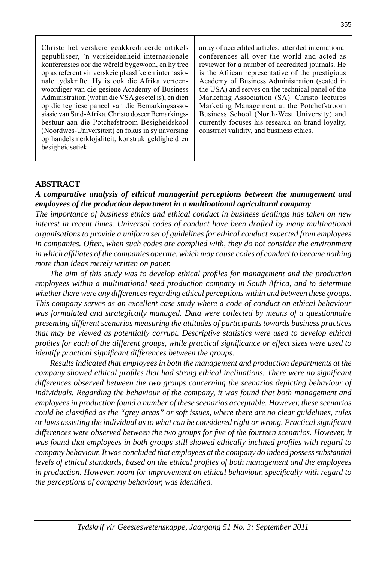Christo het verskeie geakkrediteerde artikels gepubliseer, 'n verskeidenheid internasionale konferensies oor die wêreld bygewoon, en hy tree op as referent vir verskeie plaaslike en internasionale tydskrifte. Hy is ook die Afrika verteenwoordiger van die gesiene Academy of Business Administration (wat in die VSA gesetel is), en dien op die tegniese paneel van die Bemarkingsassosiasie van Suid-Afrika. Christo doseer Bemarkingsbestuur aan die Potchefstroom Besigheidskool (Noordwes-Universiteit) en fokus in sy navorsing op handelsmerklojaliteit, konstruk geldigheid en besigheidsetiek.

array of accredited articles, attended international conferences all over the world and acted as reviewer for a number of accredited journals. He is the African representative of the prestigious Academy of Business Administration (seated in the USA) and serves on the technical panel of the Marketing Association (SA). Christo lectures Marketing Management at the Potchefstroom Business School (North-West University) and currently focuses his research on brand loyalty, construct validity, and business ethics.

#### **ABSTRACT**

#### *A comparative analysis of ethical managerial perceptions between the management and employees of the production department in a multinational agricultural company*

*The importance of business ethics and ethical conduct in business dealings has taken on new interest in recent times. Universal codes of conduct have been drafted by many multinational organisations to provide a uniform set of guidelines for ethical conduct expected from employees in companies. Often, when such codes are complied with, they do not consider the environment in which affi liates of the companies operate, which may cause codes of conduct to become nothing more than ideas merely written on paper.* 

 *The aim of this study was to develop ethical profi les for management and the production employees within a multinational seed production company in South Africa, and to determine whether there were any differences regarding ethical perceptions within and between these groups. This company serves as an excellent case study where a code of conduct on ethical behaviour was formulated and strategically managed. Data were collected by means of a questionnaire presenting different scenarios measuring the attitudes of participants towards business practices that may be viewed as potentially corrupt. Descriptive statistics were used to develop ethical profi les for each of the different groups, while practical signifi cance or effect sizes were used to identify practical significant differences between the groups.* 

 *Results indicated that employees in both the management and production departments at the company showed ethical profiles that had strong ethical inclinations. There were no significant differences observed between the two groups concerning the scenarios depicting behaviour of individuals. Regarding the behaviour of the company, it was found that both management and employees in production found a number of these scenarios acceptable. However, these scenarios could be classifi ed as the "grey areas" or soft issues, where there are no clear guidelines, rules or laws assisting the individual as to what can be considered right or wrong. Practical signifi cant differences were observed between the two groups for fi ve of the fourteen scenarios. However, it was found that employees in both groups still showed ethically inclined profi les with regard to company behaviour. It was concluded that employees at the company do indeed possess substantial levels of ethical standards, based on the ethical profi les of both management and the employees in production. However, room for improvement on ethical behaviour, specifi cally with regard to the perceptions of company behaviour, was identified.*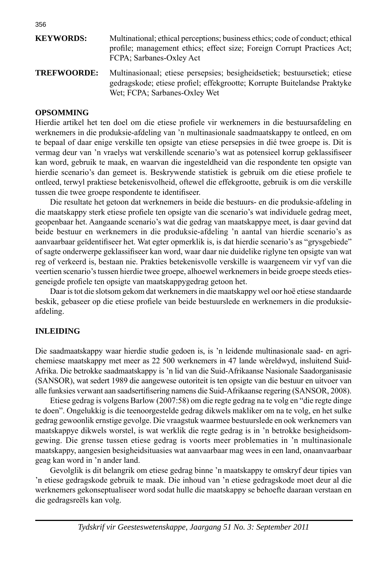| <b>KEYWORDS:</b>   | Multinational; ethical perceptions; business ethics; code of conduct; ethical<br>profile; management ethics; effect size; Foreign Corrupt Practices Act;<br>FCPA; Sarbanes-Oxley Act   |
|--------------------|----------------------------------------------------------------------------------------------------------------------------------------------------------------------------------------|
| <b>TREFWOORDE:</b> | Multinasionaal; etiese persepsies; besigheidsetiek; bestuursetiek; etiese<br>gedragskode; etiese profiel; effekgrootte; Korrupte Buitelandse Praktyke<br>Wet: FCPA: Sarbanes-Oxley Wet |

#### **OPSOMMING**

Hierdie artikel het ten doel om die etiese profiele vir werknemers in die bestuursafdeling en werknemers in die produksie-afdeling van 'n multinasionale saadmaatskappy te ontleed, en om te bepaal of daar enige verskille ten opsigte van etiese persepsies in dié twee groepe is. Dit is vermag deur van 'n vraelys wat verskillende scenario's wat as potensieel korrup geklassifiseer kan word, gebruik te maak, en waarvan die ingesteldheid van die respondente ten opsigte van hierdie scenario's dan gemeet is. Beskrywende statistiek is gebruik om die etiese profiele te ontleed, terwyl praktiese betekenisvolheid, oftewel die effekgrootte, gebruik is om die verskille tussen die twee groepe respondente te identifiseer.

 Die resultate het getoon dat werknemers in beide die bestuurs- en die produksie-afdeling in die maatskappy sterk etiese profiele ten opsigte van die scenario's wat individuele gedrag meet, geopenbaar het. Aangaande scenario's wat die gedrag van maatskappye meet, is daar gevind dat beide bestuur en werknemers in die produksie-afdeling 'n aantal van hierdie scenario's as aanvaarbaar geïdentifiseer het. Wat egter opmerklik is, is dat hierdie scenario's as "grysgebiede" of sagte onderwerpe geklassifi seer kan word, waar daar nie duidelike riglyne ten opsigte van wat reg of verkeerd is, bestaan nie. Prakties betekenisvolle verskille is waargeneem vir vyf van die veertien scenario's tussen hierdie twee groepe, alhoewel werknemers in beide groepe steeds etiesgeneigde profiele ten opsigte van maatskappygedrag getoon het.

 Daar is tot die slotsom gekom dat werknemers in die maatskappy wel oor hoë etiese standaarde beskik, gebaseer op die etiese profiele van beide bestuurslede en werknemers in die produksieafdeling.

#### **INLEIDING**

Die saadmaatskappy waar hierdie studie gedoen is, is 'n leidende multinasionale saad- en agrichemiese maatskappy met meer as 22 500 werknemers in 47 lande wêreldwyd, insluitend Suid-Afrika. Die betrokke saadmaatskappy is 'n lid van die Suid-Afrikaanse Nasionale Saadorganisasie (SANSOR), wat sedert 1989 die aangewese outoriteit is ten opsigte van die bestuur en uitvoer van alle funksies verwant aan saadsertifisering namens die Suid-Afrikaanse regering (SANSOR, 2008).

 Etiese gedrag is volgens Barlow (2007:58) om die regte gedrag na te volg en "die regte dinge te doen". Ongelukkig is die teenoorgestelde gedrag dikwels makliker om na te volg, en het sulke gedrag gewoonlik ernstige gevolge. Die vraagstuk waarmee bestuurslede en ook werknemers van maatskappye dikwels worstel, is wat werklik die regte gedrag is in 'n betrokke besigheidsomgewing. Die grense tussen etiese gedrag is voorts meer problematies in 'n multinasionale maatskappy, aangesien besigheidsituasies wat aanvaarbaar mag wees in een land, onaanvaarbaar geag kan word in 'n ander land.

 Gevolglik is dit belangrik om etiese gedrag binne 'n maatskappy te omskryf deur tipies van 'n etiese gedragskode gebruik te maak. Die inhoud van 'n etiese gedragskode moet deur al die werknemers gekonseptualiseer word sodat hulle die maatskappy se behoefte daaraan verstaan en die gedragsreëls kan volg.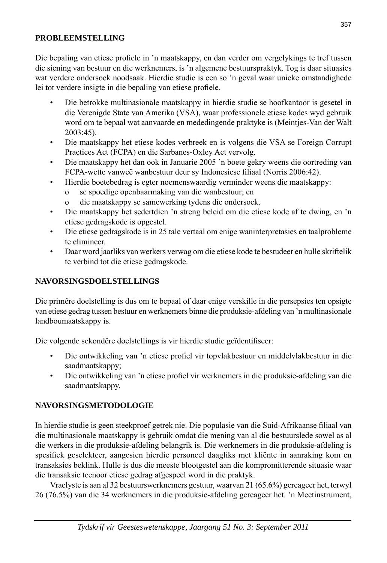#### **PROBLEEMSTELLING**

Die bepaling van etiese profiele in 'n maatskappy, en dan verder om vergelykings te tref tussen die siening van bestuur en die werknemers, is 'n algemene bestuurspraktyk. Tog is daar situasies wat verdere ondersoek noodsaak. Hierdie studie is een so 'n geval waar unieke omstandighede lei tot verdere insigte in die bepaling van etiese profiele.

- Die betrokke multinasionale maatskappy in hierdie studie se hoofkantoor is gesetel in die Verenigde State van Amerika (VSA), waar professionele etiese kodes wyd gebruik word om te bepaal wat aanvaarde en mededingende praktyke is (Meintjes-Van der Walt 2003:45).
- Die maatskappy het etiese kodes verbreek en is volgens die VSA se Foreign Corrupt Practices Act (FCPA) en die Sarbanes-Oxley Act vervolg.
- Die maatskappy het dan ook in Januarie 2005 'n boete gekry weens die oortreding van FCPA-wette vanweë wanbestuur deur sy Indonesiese filiaal (Norris 2006:42).
- Hierdie boetebedrag is egter noemenswaardig verminder weens die maatskappy:
	- o se spoedige openbaarmaking van die wanbestuur; en
	- o die maatskappy se samewerking tydens die ondersoek.
- Die maatskappy het sedertdien 'n streng beleid om die etiese kode af te dwing, en 'n etiese gedragskode is opgestel.
- Die etiese gedragskode is in 25 tale vertaal om enige waninterpretasies en taalprobleme te elimineer.
- Daar word jaarliks van werkers verwag om die etiese kode te bestudeer en hulle skriftelik te verbind tot die etiese gedragskode.

#### **NAVORSINGSDOELSTELLINGS**

Die primêre doelstelling is dus om te bepaal of daar enige verskille in die persepsies ten opsigte van etiese gedrag tussen bestuur en werknemers binne die produksie-afdeling van 'n multinasionale landboumaatskappy is.

Die volgende sekondêre doelstellings is vir hierdie studie geïdentifiseer:

- Die ontwikkeling van 'n etiese profiel vir topvlakbestuur en middelvlakbestuur in die saadmaatskappy;
- Die ontwikkeling van 'n etiese profiel vir werknemers in die produksie-afdeling van die saadmaatskappy.

## **NAVORSINGSMETODOLOGIE**

In hierdie studie is geen steekproef getrek nie. Die populasie van die Suid-Afrikaanse filiaal van die multinasionale maatskappy is gebruik omdat die mening van al die bestuurslede sowel as al die werkers in die produksie-afdeling belangrik is. Die werknemers in die produksie-afdeling is spesifiek geselekteer, aangesien hierdie personeel daagliks met kliënte in aanraking kom en transaksies beklink. Hulle is dus die meeste blootgestel aan die kompromitterende situasie waar die transaksie teenoor etiese gedrag afgespeel word in die praktyk.

 Vraelyste is aan al 32 bestuurswerknemers gestuur, waarvan 21 (65.6%) gereageer het, terwyl 26 (76.5%) van die 34 werknemers in die produksie-afdeling gereageer het. 'n Meetinstrument,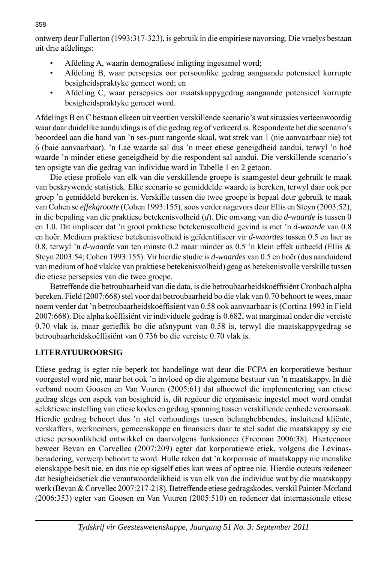ontwerp deur Fullerton (1993:317-323), is gebruik in die empiriese navorsing. Die vraelys bestaan uit drie afdelings:

- Afdeling A, waarin demografiese inligting ingesamel word;
- Afdeling B, waar persepsies oor persoonlike gedrag aangaande potensieel korrupte besigheidspraktyke gemeet word; en
- Afdeling C, waar persepsies oor maatskappygedrag aangaande potensieel korrupte besigheidspraktyke gemeet word.

Afdelings B en C bestaan elkeen uit veertien verskillende scenario's wat situasies verteenwoordig waar daar duidelike aanduidings is of die gedrag reg of verkeerd is. Respondente het die scenario's beoordeel aan die hand van 'n ses-punt rangorde skaal, wat strek van 1 (nie aanvaarbaar nie) tot 6 (baie aanvaarbaar). 'n Lae waarde sal dus 'n meer etiese geneigdheid aandui, terwyl 'n hoë waarde 'n minder etiese geneigdheid by die respondent sal aandui. Die verskillende scenario's ten opsigte van die gedrag van individue word in Tabelle 1 en 2 getoon.

Die etiese profiele van elk van die verskillende groepe is saamgestel deur gebruik te maak van beskrywende statistiek. Elke scenario se gemiddelde waarde is bereken, terwyl daar ook per groep 'n gemiddeld bereken is. Verskille tussen die twee groepe is bepaal deur gebruik te maak van Cohen se *effekgrootte* (Cohen 1993:155), soos verder nagevors deur Ellis en Steyn (2003:52), in die bepaling van die praktiese betekenisvolheid (*d*). Die omvang van die *d*-*waarde* is tussen 0 en 1.0. Dit impliseer dat 'n groot praktiese betekenisvolheid gevind is met 'n *d-waarde* van 0.8 en hoër. Medium praktiese betekenisvolheid is geïdentifiseer vir *d-waardes* tussen 0.5 en laer as 0.8, terwyl 'n *d-waarde* van ten minste 0.2 maar minder as 0.5 'n klein effek uitbeeld (Ellis & Steyn 2003:54; Cohen 1993:155). Vir hierdie studie is *d*-*waardes* van 0.5 en hoër (dus aanduidend van medium of hoë vlakke van praktiese betekenisvolheid) geag as betekenisvolle verskille tussen die etiese persepsies van die twee groepe.

Betreffende die betroubaarheid van die data, is die betroubaarheidskoëffisiënt Cronbach alpha bereken. Field (2007:668) stel voor dat betroubaarheid bo die vlak van 0.70 behoort te wees, maar noem verder dat 'n betroubaarheidskoëffisiënt van 0.58 ook aanvaarbaar is (Cortina 1993 in Field 2007:668). Die alpha koëffisiënt vir individuele gedrag is 0.682, wat marginaal onder die vereiste 0.70 vlak is, maar gerieflik bo die afsnypunt van 0.58 is, terwyl die maatskappygedrag se betroubaarheidskoëffisiënt van 0.736 bo die vereiste 0.70 vlak is.

# **LITERATUUROORSIG**

Etiese gedrag is egter nie beperk tot handelinge wat deur die FCPA en korporatiewe bestuur voorgestel word nie, maar het ook 'n invloed op die algemene bestuur van 'n maatskappy. In dié verband noem Goosen en Van Vuuren (2005:61) dat alhoewel die implementering van etiese gedrag slegs een aspek van besigheid is, dit regdeur die organisasie ingestel moet word omdat selektiewe instelling van etiese kodes en gedrag spanning tussen verskillende eenhede veroorsaak. Hierdie gedrag behoort dus 'n stel verhoudings tussen belanghebbendes, insluitend kliënte, verskaffers, werknemers, gemeenskappe en finansiers daar te stel sodat die maatskappy sy eie etiese persoonlikheid ontwikkel en daarvolgens funksioneer (Freeman 2006:38). Hierteenoor beweer Bevan en Corvellec (2007:209) egter dat korporatiewe etiek, volgens die Levinasbenadering, verwerp behoort te word. Hulle reken dat 'n korporasie of maatskappy nie menslike eienskappe besit nie, en dus nie op sigself eties kan wees of optree nie. Hierdie outeurs redeneer dat besigheidsetiek die verantwoordelikheid is van elk van die individue wat by die maatskappy werk (Bevan & Corvellec 2007:217-218). Betreffende etiese gedragskodes, verskil Painter-Morland (2006:353) egter van Goosen en Van Vuuren (2005:510) en redeneer dat internasionale etiese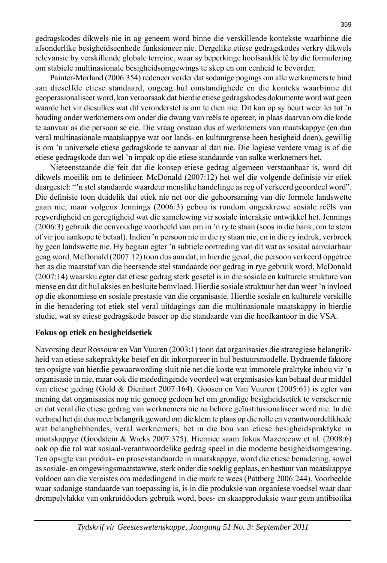gedragskodes dikwels nie in ag geneem word binne die verskillende kontekste waarbinne die afsonderlike besigheidseenhede funksioneer nie. Dergelike etiese gedragskodes verkry dikwels relevansie by verskillende globale terreine, waar sy beperkinge hoofsaaklik lê by die formulering om stabiele multinasionale besigheidsomgewings te skep en om eenheid te bevorder.

 Painter-Morland (2006:354) redeneer verder dat sodanige pogings om alle werknemers te bind aan dieselfde etiese standaard, ongeag hul omstandighede en die konteks waarbinne dit geoperasionaliseer word, kan veroorsaak dat hierdie etiese gedragskodes dokumente word wat geen waarde het vir diesulkes wat dit veronderstel is om te dien nie. Dit kan op sy beurt weer lei tot 'n houding onder werknemers om onder die dwang van reëls te opereer, in plaas daarvan om die kode te aanvaar as die persoon se eie. Die vraag onstaan dus of werknemers van maatskappye (en dan veral multinasionale maatskappye wat oor lands- en kultuurgrense heen besigheid doen), gewillig is om 'n universele etiese gedragskode te aanvaar al dan nie. Die logiese verdere vraag is of die etiese gedragskode dan wel 'n impak op die etiese standaarde van sulke werknemers het.

 Nieteenstaande die feit dat die konsep etiese gedrag algemeen verstaanbaar is, word dit dikwels moeilik om te definieer. McDonald (2007:12) het wel die volgende definisie vir etiek daargestel: "'n stel standaarde waardeur menslike handelinge as reg of verkeerd geoordeel word". Die definisie toon duidelik dat etiek nie net oor die gehoorsaming van die formele landswette gaan nie, maar volgens Jennings (2006:3) gebou is rondom ongeskrewe sosiale reëls van regverdigheid en geregtigheid wat die samelewing vir sosiale interaksie ontwikkel het. Jennings (2006:3) gebruik die eenvoudige voorbeeld van om in 'n ry te staan (soos in die bank, om te stem of vir jou aankope te betaal). Indien 'n persoon nie in die ry staan nie, en in die ry indruk, verbreek hy geen landswette nie. Hy begaan egter 'n subtiele oortreding van dít wat as sosiaal aanvaarbaar geag word. McDonald (2007:12) toon dus aan dat, in hierdie geval, die persoon verkeerd opgetree het as die maatstaf van die heersende stel standaarde oor gedrag in rye gebruik word. McDonald (2007:14) waarsku egter dat etiese gedrag sterk gesetel is in die sosiale en kulturele strukture van mense en dat dit hul aksies en besluite beïnvloed. Hierdie sosiale struktuur het dan weer 'n invloed op die ekonomiese en sosiale prestasie van die organisasie. Hierdie sosiale en kulturele verskille in die benadering tot etiek stel veral uitdagings aan die multinasionale maatskappy in hierdie studie, wat sy etiese gedragskode baseer op die standaarde van die hoofkantoor in die VSA.

#### **Fokus op etiek en besigheidsetiek**

Navorsing deur Rossouw en Van Vuuren (2003:1) toon dat organisasies die strategiese belangrikheid van etiese sakepraktyke besef en dit inkorporeer in hul bestuursmodelle. Bydraende faktore ten opsigte van hierdie gewaarwording sluit nie net die koste wat immorele praktyke inhou vir 'n organisasie in nie, maar ook die mededingende voordeel wat organisasies kan behaal deur middel van etiese gedrag (Gold & Dienhart 2007:164). Goosen en Van Vuuren (2005:61) is egter van mening dat organisasies nog nie genoeg gedoen het om grondige besigheidsetiek te verseker nie en dat veral die etiese gedrag van werknemers nie na behore geïnstitusionaliseer word nie. In dié verband het dit dus meer belangrik geword om die klem te plaas op die rolle en verantwoordelikhede wat belanghebbendes, veral werknemers, het in die bou van etiese besigheidspraktyke in maatskappye (Goodstein & Wicks 2007:375). Hiermee saam fokus Mazereeuw et al. (2008:6) ook op die rol wat sosiaal-verantwoordelike gedrag speel in die moderne besigheidsomgewing. Ten opsigte van produk- en prosesstandaarde in maatskappye, word die etiese benadering, sowel as sosiale- en omgewingsmaatstawwe, sterk onder die soeklig geplaas, en bestuur van maatskappye voldoen aan die vereistes om mededingend in die mark te wees (Pattberg 2006:244). Voorbeelde waar sodanige standaarde van toepassing is, is in die produksie van organiese voedsel waar daar drempelvlakke van onkruiddoders gebruik word, bees- en skaapproduksie waar geen antibiotika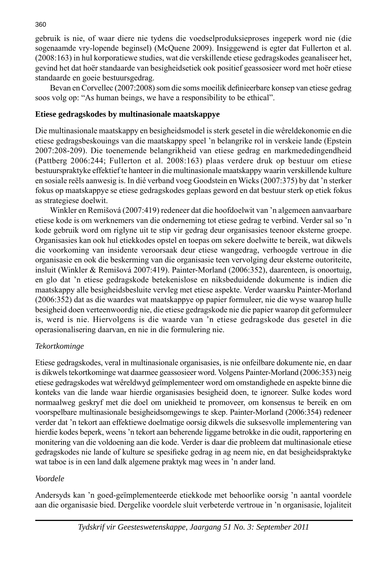gebruik is nie, of waar diere nie tydens die voedselproduksieproses ingeperk word nie (die sogenaamde vry-lopende beginsel) (McQuene 2009). Insiggewend is egter dat Fullerton et al. (2008:163) in hul korporatiewe studies, wat die verskillende etiese gedragskodes geanaliseer het, gevind het dat hoër standaarde van besigheidsetiek ook positief geassosieer word met hoër etiese standaarde en goeie bestuursgedrag.

Bevan en Corvellec (2007:2008) som die soms moeilik definieerbare konsep van etiese gedrag soos volg op: "As human beings, we have a responsibility to be ethical".

## **Etiese gedragskodes by multinasionale maatskappye**

Die multinasionale maatskappy en besigheidsmodel is sterk gesetel in die wêreldekonomie en die etiese gedragsbeskouings van die maatskappy speel 'n belangrike rol in verskeie lande (Epstein 2007:208-209). Die toenemende belangrikheid van etiese gedrag en markmededingendheid (Pattberg 2006:244; Fullerton et al. 2008:163) plaas verdere druk op bestuur om etiese bestuurspraktyke effektief te hanteer in die multinasionale maatskappy waarin verskillende kulture en sosiale reëls aanwesig is. In dié verband voeg Goodstein en Wicks (2007:375) by dat 'n sterker fokus op maatskappye se etiese gedragskodes geplaas geword en dat bestuur sterk op etiek fokus as strategiese doelwit.

 Winkler en Remišová (2007:419) redeneer dat die hoofdoelwit van 'n algemeen aanvaarbare etiese kode is om werknemers van die onderneming tot etiese gedrag te verbind. Verder sal so 'n kode gebruik word om riglyne uit te stip vir gedrag deur organisasies teenoor eksterne groepe. Organisasies kan ook hul etiekkodes opstel en toepas om sekere doelwitte te bereik, wat dikwels die voorkoming van insidente veroorsaak deur etiese wangedrag, verhoogde vertroue in die organisasie en ook die beskerming van die organisasie teen vervolging deur eksterne outoriteite, insluit (Winkler & Remišová 2007:419). Painter-Morland (2006:352), daarenteen, is onoortuig, en glo dat 'n etiese gedragskode betekenislose en niksbeduidende dokumente is indien die maatskappy alle besigheidsbesluite vervleg met etiese aspekte. Verder waarsku Painter-Morland (2006:352) dat as die waardes wat maatskappye op papier formuleer, nie die wyse waarop hulle besigheid doen verteenwoordig nie, die etiese gedragskode nie die papier waarop dit geformuleer is, werd is nie. Hiervolgens is die waarde van 'n etiese gedragskode dus gesetel in die operasionalisering daarvan, en nie in die formulering nie.

## *Tekortkominge*

Etiese gedragskodes, veral in multinasionale organisasies, is nie onfeilbare dokumente nie, en daar is dikwels tekortkominge wat daarmee geassosieer word. Volgens Painter-Morland (2006:353) neig etiese gedragskodes wat wêreldwyd geïmplementeer word om omstandighede en aspekte binne die konteks van die lande waar hierdie organisasies besigheid doen, te ignoreer. Sulke kodes word normaalweg geskryf met die doel om uniekheid te promoveer, om konsensus te bereik en om voorspelbare multinasionale besigheidsomgewings te skep. Painter-Morland (2006:354) redeneer verder dat 'n tekort aan effektiewe doelmatige oorsig dikwels die suksesvolle implementering van hierdie kodes beperk, weens 'n tekort aan beherende liggame betrokke in die oudit, rapportering en monitering van die voldoening aan die kode. Verder is daar die probleem dat multinasionale etiese gedragskodes nie lande of kulture se spesifieke gedrag in ag neem nie, en dat besigheidspraktyke wat taboe is in een land dalk algemene praktyk mag wees in 'n ander land.

## *Voordele*

Andersyds kan 'n goed-geïmplementeerde etiekkode met behoorlike oorsig 'n aantal voordele aan die organisasie bied. Dergelike voordele sluit verbeterde vertroue in 'n organisasie, lojaliteit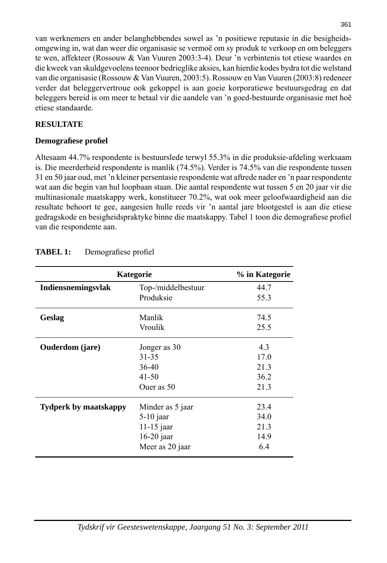van werknemers en ander belanghebbendes sowel as 'n positiewe reputasie in die besigheidsomgewing in, wat dan weer die organisasie se vermoë om sy produk te verkoop en om beleggers te wen, affekteer (Rossouw & Van Vuuren 2003:3-4). Deur 'n verbintenis tot etiese waardes en die kweek van skuldgevoelens teenoor bedrieglike aksies, kan hierdie kodes bydra tot die welstand van die organisasie (Rossouw & Van Vuuren, 2003:5). Rossouw en Van Vuuren (2003:8) redeneer verder dat beleggervertroue ook gekoppel is aan goeie korporatiewe bestuursgedrag en dat beleggers bereid is om meer te betaal vir die aandele van 'n goed-bestuurde organisasie met hoë etiese standaarde.

## **RESULTATE**

## **Demografi ese profi el**

Altesaam 44.7% respondente is bestuurslede terwyl 55.3% in die produksie-afdeling werksaam is. Die meerderheid respondente is manlik (74.5%). Verder is 74.5% van die respondente tussen 31 en 50 jaar oud, met 'n kleiner persentasie respondente wat aftrede nader en 'n paar respondente wat aan die begin van hul loopbaan staan. Die aantal respondente wat tussen 5 en 20 jaar vir die multinasionale maatskappy werk, konstitueer 70.2%, wat ook meer geloofwaardigheid aan die resultate behoort te gee, aangesien hulle reeds vir 'n aantal jare blootgestel is aan die etiese gedragskode en besigheidspraktyke binne die maatskappy. Tabel 1 toon die demografiese profiel van die respondente aan.

| Kategorie              | % in Kategorie     |      |
|------------------------|--------------------|------|
| Indiensnemingsvlak     | Top-/middelbestuur | 44.7 |
|                        | Produksie          | 55.3 |
| Geslag                 | Manlik             | 74.5 |
|                        | Vroulik            | 25.5 |
| <b>Ouderdom</b> (jare) | Jonger as 30       | 4.3  |
|                        | 31-35              | 17.0 |
|                        | $36-40$            | 21.3 |
|                        | $41 - 50$          | 36.2 |
|                        | Ouer as 50         | 21.3 |
| Tydperk by maatskappy  | Minder as 5 jaar   | 23.4 |
|                        | $5-10$ jaar        | 34.0 |
|                        | $11-15$ jaar       | 21.3 |
|                        | $16-20$ jaar       | 14.9 |
|                        | Meer as 20 jaar    | 6.4  |

# **TABEL 1:** Demografiese profiel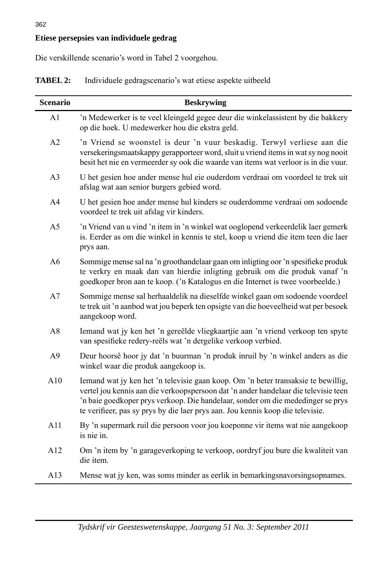## **Etiese persepsies van individuele gedrag**

Die verskillende scenario's word in Tabel 2 voorgehou.

| <b>TABEL 2:</b> | Individuele gedragscenario's wat etiese aspekte uitbeeld |  |  |  |  |
|-----------------|----------------------------------------------------------|--|--|--|--|
|-----------------|----------------------------------------------------------|--|--|--|--|

| <b>Scenario</b> | <b>Beskrywing</b>                                                                                                                                                                                                                                                                                                                             |
|-----------------|-----------------------------------------------------------------------------------------------------------------------------------------------------------------------------------------------------------------------------------------------------------------------------------------------------------------------------------------------|
| A1              | 'n Medewerker is te veel kleingeld gegee deur die winkelassistent by die bakkery<br>op die hoek. U medewerker hou die ekstra geld.                                                                                                                                                                                                            |
| A2              | 'n Vriend se woonstel is deur 'n vuur beskadig. Terwyl verliese aan die<br>versekeringsmaatskappy gerapporteer word, sluit u vriend items in wat sy nog nooit<br>besit het nie en vermeerder sy ook die waarde van items wat verloor is in die vuur.                                                                                          |
| A <sub>3</sub>  | U het gesien hoe ander mense hul eie ouderdom verdraai om voordeel te trek uit<br>afslag wat aan senior burgers gebied word.                                                                                                                                                                                                                  |
| A <sub>4</sub>  | U het gesien hoe ander mense hul kinders se ouderdomme verdraai om sodoende<br>voordeel te trek uit afslag vir kinders.                                                                                                                                                                                                                       |
| A <sub>5</sub>  | 'n Vriend van u vind 'n item in 'n winkel wat ooglopend verkeerdelik laer gemerk<br>is. Eerder as om die winkel in kennis te stel, koop u vriend die item teen die laer<br>prys aan.                                                                                                                                                          |
| A <sub>6</sub>  | Sommige mense sal na 'n groothandelaar gaan om inligting oor 'n spesifieke produk<br>te verkry en maak dan van hierdie inligting gebruik om die produk vanaf 'n<br>goedkoper bron aan te koop. ('n Katalogus en die Internet is twee voorbeelde.)                                                                                             |
| A7              | Sommige mense sal herhaaldelik na dieselfde winkel gaan om sodoende voordeel<br>te trek uit 'n aanbod wat jou beperk ten opsigte van die hoeveelheid wat per besoek<br>aangekoop word.                                                                                                                                                        |
| A8              | Iemand wat jy ken het 'n gereëlde vliegkaartjie aan 'n vriend verkoop ten spyte<br>van spesifieke redery-reëls wat 'n dergelike verkoop verbied.                                                                                                                                                                                              |
| A <sub>9</sub>  | Deur hoorsê hoor jy dat 'n buurman 'n produk inruil by 'n winkel anders as die<br>winkel waar die produk aangekoop is.                                                                                                                                                                                                                        |
| A10             | Iemand wat jy ken het 'n televisie gaan koop. Om 'n beter transaksie te bewillig,<br>vertel jou kennis aan die verkoopspersoon dat 'n ander handelaar die televisie teen<br>'n baie goedkoper prys verkoop. Die handelaar, sonder om die mededinger se prys<br>te verifieer, pas sy prys by die laer prys aan. Jou kennis koop die televisie. |
| A11             | By 'n supermark ruil die persoon voor jou koeponne vir items wat nie aangekoop<br>is nie in.                                                                                                                                                                                                                                                  |
| A12             | Om 'n item by 'n garageverkoping te verkoop, oordryf jou bure die kwaliteit van<br>die item.                                                                                                                                                                                                                                                  |
| A13             | Mense wat jy ken, was soms minder as eerlik in bemarkingsnavorsingsopnames.                                                                                                                                                                                                                                                                   |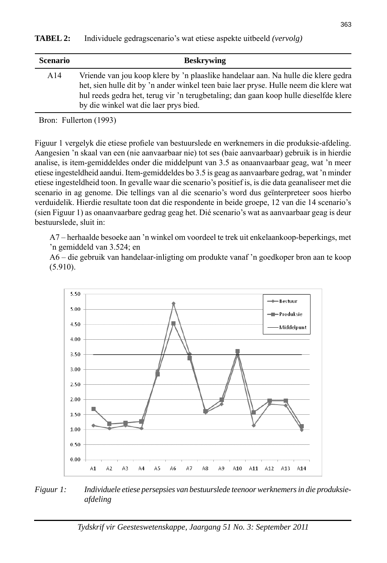| <b>Scenario</b> | <b>Beskrywing</b>                                                                                                                                                                                                                                                                                            |
|-----------------|--------------------------------------------------------------------------------------------------------------------------------------------------------------------------------------------------------------------------------------------------------------------------------------------------------------|
| A14             | Vriende van jou koop klere by 'n plaaslike handelaar aan. Na hulle die klere gedra<br>het, sien hulle dit by 'n ander winkel teen baie laer pryse. Hulle neem die klere wat<br>hul reeds gedra het, terug vir 'n terugbetaling; dan gaan koop hulle dieselfde klere<br>by die winkel wat die laer prys bied. |

Bron: Fullerton (1993)

Figuur 1 vergelyk die etiese profiele van bestuurslede en werknemers in die produksie-afdeling. Aangesien 'n skaal van een (nie aanvaarbaar nie) tot ses (baie aanvaarbaar) gebruik is in hierdie analise, is item-gemiddeldes onder die middelpunt van 3.5 as onaanvaarbaar geag, wat 'n meer etiese ingesteldheid aandui. Item-gemiddeldes bo 3.5 is geag as aanvaarbare gedrag, wat 'n minder etiese ingesteldheid toon. In gevalle waar die scenario's positief is, is die data geanaliseer met die scenario in ag genome. Die tellings van al die scenario's word dus geïnterpreteer soos hierbo verduidelik. Hierdie resultate toon dat die respondente in beide groepe, 12 van die 14 scenario's (sien Figuur 1) as onaanvaarbare gedrag geag het. Dié scenario's wat as aanvaarbaar geag is deur bestuurslede, sluit in:

 A7 – herhaalde besoeke aan 'n winkel om voordeel te trek uit enkelaankoop-beperkings, met 'n gemiddeld van 3.524; en

 A6 – die gebruik van handelaar-inligting om produkte vanaf 'n goedkoper bron aan te koop (5.910).



*Figuur 1: Individuele etiese persepsies van bestuurslede teenoor werknemers in die produksieafdeling*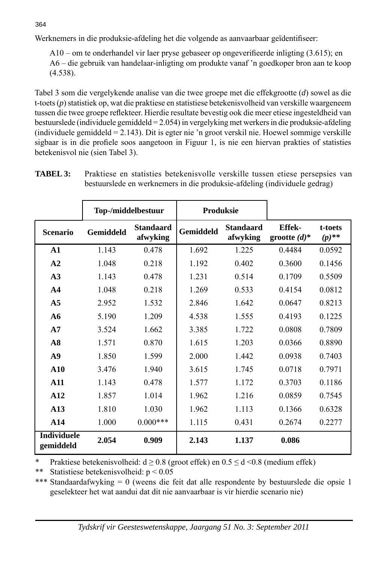Werknemers in die produksie-afdeling het die volgende as aanvaarbaar geïdentifiseer:

 $A10$  – om te onderhandel vir laer pryse gebaseer op ongeverifieerde inligting (3.615); en A6 – die gebruik van handelaar-inligting om produkte vanaf 'n goedkoper bron aan te koop (4.538).

Tabel 3 som die vergelykende analise van die twee groepe met die effekgrootte (*d*) sowel as die t-toets (*p*) statistiek op, wat die praktiese en statistiese betekenisvolheid van verskille waargeneem tussen die twee groepe reflekteer. Hierdie resultate bevestig ook die meer etiese ingesteldheid van bestuurslede (individuele gemiddeld = 2.054) in vergelyking met werkers in die produksie-afdeling (individuele gemiddeld = 2.143). Dit is egter nie 'n groot verskil nie. Hoewel sommige verskille sigbaar is in die profiele soos aangetoon in Figuur 1, is nie een hiervan prakties of statisties betekenisvol nie (sien Tabel 3).

|                                 | Top-/middelbestuur |                              | Produksie        |                              |                                  |                     |
|---------------------------------|--------------------|------------------------------|------------------|------------------------------|----------------------------------|---------------------|
| <b>Scenario</b>                 | Gemiddeld          | <b>Standaard</b><br>afwyking | <b>Gemiddeld</b> | <b>Standaard</b><br>afwyking | <b>Effek-</b><br>grootte $(d)^*$ | t-toets<br>$(p)$ ** |
| $\mathbf{A1}$                   | 1.143              | 0.478                        | 1.692            | 1.225                        | 0.4484                           | 0.0592              |
| A2                              | 1.048              | 0.218                        | 1.192            | 0.402                        | 0.3600                           | 0.1456              |
| A3                              | 1.143              | 0.478                        | 1.231            | 0.514                        | 0.1709                           | 0.5509              |
| A <sub>4</sub>                  | 1.048              | 0.218                        | 1.269            | 0.533                        | 0.4154                           | 0.0812              |
| A <sub>5</sub>                  | 2.952              | 1.532                        | 2.846            | 1.642                        | 0.0647                           | 0.8213              |
| A6                              | 5.190              | 1.209                        | 4.538            | 1.555                        | 0.4193                           | 0.1225              |
| A7                              | 3.524              | 1.662                        | 3.385            | 1.722                        | 0.0808                           | 0.7809              |
| A8                              | 1.571              | 0.870                        | 1.615            | 1.203                        | 0.0366                           | 0.8890              |
| A <sub>9</sub>                  | 1.850              | 1.599                        | 2.000            | 1.442                        | 0.0938                           | 0.7403              |
| ${\bf A10}$                     | 3.476              | 1.940                        | 3.615            | 1.745                        | 0.0718                           | 0.7971              |
| A11                             | 1.143              | 0.478                        | 1.577            | 1.172                        | 0.3703                           | 0.1186              |
| A12                             | 1.857              | 1.014                        | 1.962            | 1.216                        | 0.0859                           | 0.7545              |
| A13                             | 1.810              | 1.030                        | 1.962            | 1.113                        | 0.1366                           | 0.6328              |
| A14                             | 1.000              | $0.000$ ***                  | 1.115            | 0.431                        | 0.2674                           | 0.2277              |
| <b>Individuele</b><br>gemiddeld | 2.054              | 0.909                        | 2.143            | 1.137                        | 0.086                            |                     |

**TABEL 3:** Praktiese en statisties betekenisvolle verskille tussen etiese persepsies van bestuurslede en werknemers in die produksie-afdeling (individuele gedrag)

Praktiese betekenisvolheid:  $d \ge 0.8$  (groot effek) en  $0.5 \le d \le 0.8$  (medium effek)

\*\* Statistiese betekenisvolheid: p < 0.05

\*\*\* Standaardafwyking = 0 (weens die feit dat alle respondente by bestuurslede die opsie 1 geselekteer het wat aandui dat dit nie aanvaarbaar is vir hierdie scenario nie)

364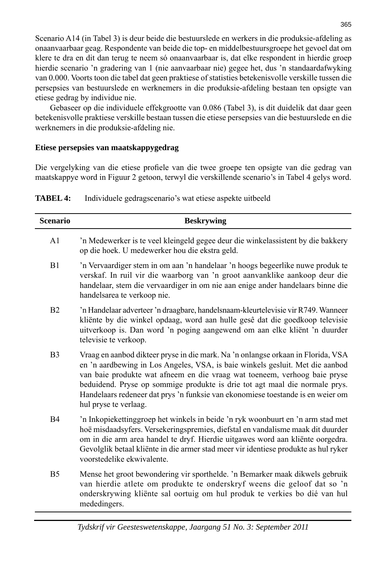Scenario A14 (in Tabel 3) is deur beide die bestuurslede en werkers in die produksie-afdeling as onaanvaarbaar geag. Respondente van beide die top- en middelbestuursgroepe het gevoel dat om klere te dra en dit dan terug te neem só onaanvaarbaar is, dat elke respondent in hierdie groep hierdie scenario 'n gradering van 1 (nie aanvaarbaar nie) gegee het, dus 'n standaardafwyking van 0.000. Voorts toon die tabel dat geen praktiese of statisties betekenisvolle verskille tussen die persepsies van bestuurslede en werknemers in die produksie-afdeling bestaan ten opsigte van etiese gedrag by individue nie.

 Gebaseer op die individuele effekgrootte van 0.086 (Tabel 3), is dit duidelik dat daar geen betekenisvolle praktiese verskille bestaan tussen die etiese persepsies van die bestuurslede en die werknemers in die produksie-afdeling nie.

#### **Etiese persepsies van maatskappygedrag**

mededingers.

Die vergelyking van die etiese profiele van die twee groepe ten opsigte van die gedrag van maatskappye word in Figuur 2 getoon, terwyl die verskillende scenario's in Tabel 4 gelys word.

| <b>Scenario</b> | <b>Beskrywing</b>                                                                                                                                                                                                                                                                                                                                                                                                                         |
|-----------------|-------------------------------------------------------------------------------------------------------------------------------------------------------------------------------------------------------------------------------------------------------------------------------------------------------------------------------------------------------------------------------------------------------------------------------------------|
| A1              | 'n Medewerker is te veel kleingeld gegee deur die winkelassistent by die bakkery<br>op die hoek. U medewerker hou die ekstra geld.                                                                                                                                                                                                                                                                                                        |
| B1              | 'n Vervaardiger stem in om aan 'n handelaar 'n hoogs begeerlike nuwe produk te<br>verskaf. In ruil vir die waarborg van 'n groot aanvanklike aankoop deur die<br>handelaar, stem die vervaardiger in om nie aan enige ander handelaars binne die<br>handelsarea te verkoop nie.                                                                                                                                                           |
| B <sub>2</sub>  | 'n Handelaar adverteer 'n draagbare, handelsnaam-kleurtelevisie vir R749. Wanneer<br>kliënte by die winkel opdaag, word aan hulle gesê dat die goedkoop televisie<br>uitverkoop is. Dan word 'n poging aangewend om aan elke kliënt 'n duurder<br>televisie te verkoop.                                                                                                                                                                   |
| B <sub>3</sub>  | Vraag en aanbod dikteer pryse in die mark. Na 'n onlangse orkaan in Florida, VSA<br>en 'n aardbewing in Los Angeles, VSA, is baie winkels gesluit. Met die aanbod<br>van baie produkte wat afneem en die vraag wat toeneem, verhoog baie pryse<br>beduidend. Pryse op sommige produkte is drie tot agt maal die normale prys.<br>Handelaars redeneer dat prys 'n funksie van ekonomiese toestande is en weier om<br>hul pryse te verlaag. |
| <b>B4</b>       | 'n Inkopiekettinggroep het winkels in beide 'n ryk woonbuurt en 'n arm stad met<br>hoë misdaadsyfers. Versekeringspremies, diefstal en vandalisme maak dit duurder<br>om in die arm area handel te dryf. Hierdie uitgawes word aan kliënte oorgedra.<br>Gevolglik betaal kliënte in die armer stad meer vir identiese produkte as hul ryker<br>voorstedelike ekwivalente.                                                                 |
| B <sub>5</sub>  | Mense het groot bewondering vir sporthelde. 'n Bemarker maak dikwels gebruik<br>van hierdie atlete om produkte te onderskryf weens die geloof dat so 'n<br>onderskrywing kliënte sal oortuig om hul produk te verkies bo dié van hul                                                                                                                                                                                                      |

**TABEL 4:** Individuele gedragscenario's wat etiese aspekte uitbeeld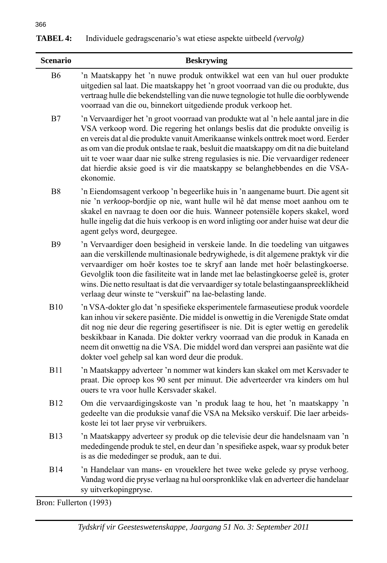| <b>TABEL 4:</b> | Individuele gedragscenario's wat etiese aspekte uitbeeld (vervolg) |  |  |  |
|-----------------|--------------------------------------------------------------------|--|--|--|
|-----------------|--------------------------------------------------------------------|--|--|--|

| <b>Scenario</b>           | <b>Beskrywing</b>                                                                                                                                                                                                                                                                                                                                                                                                                                                                                                                       |
|---------------------------|-----------------------------------------------------------------------------------------------------------------------------------------------------------------------------------------------------------------------------------------------------------------------------------------------------------------------------------------------------------------------------------------------------------------------------------------------------------------------------------------------------------------------------------------|
| <b>B6</b>                 | 'n Maatskappy het 'n nuwe produk ontwikkel wat een van hul ouer produkte<br>uitgedien sal laat. Die maatskappy het 'n groot voorraad van die ou produkte, dus<br>vertraag hulle die bekendstelling van die nuwe tegnologie tot hulle die oorblywende<br>voorraad van die ou, binnekort uitgediende produk verkoop het.                                                                                                                                                                                                                  |
| B7                        | 'n Vervaardiger het 'n groot voorraad van produkte wat al 'n hele aantal jare in die<br>VSA verkoop word. Die regering het onlangs beslis dat die produkte onveilig is<br>en vereis dat al die produkte vanuit Amerikaanse winkels onttrek moet word. Eerder<br>as om van die produk ontslae te raak, besluit die maatskappy om dit na die buiteland<br>uit te voer waar daar nie sulke streng regulasies is nie. Die vervaardiger redeneer<br>dat hierdie aksie goed is vir die maatskappy se belanghebbendes en die VSA-<br>ekonomie. |
| B <sub>8</sub>            | 'n Eiendomsagent verkoop 'n begeerlike huis in 'n aangename buurt. Die agent sit<br>nie 'n verkoop-bordjie op nie, want hulle wil hê dat mense moet aanhou om te<br>skakel en navraag te doen oor die huis. Wanneer potensiële kopers skakel, word<br>hulle ingelig dat die huis verkoop is en word inligting oor ander huise wat deur die<br>agent gelys word, deurgegee.                                                                                                                                                              |
| <b>B</b> 9                | 'n Vervaardiger doen besigheid in verskeie lande. In die toedeling van uitgawes<br>aan die verskillende multinasionale bedrywighede, is dit algemene praktyk vir die<br>vervaardiger om hoër kostes toe te skryf aan lande met hoër belastingkoerse.<br>Gevolglik toon die fasiliteite wat in lande met lae belastingkoerse geleë is, groter<br>wins. Die netto resultaat is dat die vervaardiger sy totale belastingaanspreeklikheid<br>verlaag deur winste te "verskuif" na lae-belasting lande.                                      |
| <b>B10</b>                | 'n VSA-dokter glo dat 'n spesifieke eksperimentele farmaseutiese produk voordele<br>kan inhou vir sekere pasiënte. Die middel is onwettig in die Verenigde State omdat<br>dit nog nie deur die regering gesertifiseer is nie. Dit is egter wettig en geredelik<br>beskikbaar in Kanada. Die dokter verkry voorraad van die produk in Kanada en<br>neem dit onwettig na die VSA. Die middel word dan versprei aan pasiënte wat die<br>dokter voel gehelp sal kan word deur die produk.                                                   |
| <b>B11</b>                | 'n Maatskappy adverteer 'n nommer wat kinders kan skakel om met Kersvader te<br>praat. Die oproep kos 90 sent per minuut. Die adverteerder vra kinders om hul<br>ouers te vra voor hulle Kersvader skakel.                                                                                                                                                                                                                                                                                                                              |
| <b>B12</b>                | Om die vervaardigingskoste van 'n produk laag te hou, het 'n maatskappy 'n<br>gedeelte van die produksie vanaf die VSA na Meksiko verskuif. Die laer arbeids-<br>koste lei tot laer pryse vir verbruikers.                                                                                                                                                                                                                                                                                                                              |
| <b>B13</b>                | 'n Maatskappy adverteer sy produk op die televisie deur die handelsnaam van 'n<br>mededingende produk te stel, en deur dan 'n spesifieke aspek, waar sy produk beter<br>is as die mededinger se produk, aan te dui.                                                                                                                                                                                                                                                                                                                     |
| <b>B14</b>                | 'n Handelaar van mans- en vroueklere het twee weke gelede sy pryse verhoog.<br>Vandag word die pryse verlaag na hul oorspronklike vlak en adverteer die handelaar<br>sy uitverkopingpryse.                                                                                                                                                                                                                                                                                                                                              |
| $Pron · Fullarton (1002)$ |                                                                                                                                                                                                                                                                                                                                                                                                                                                                                                                                         |

Bron: Fullerton (1993)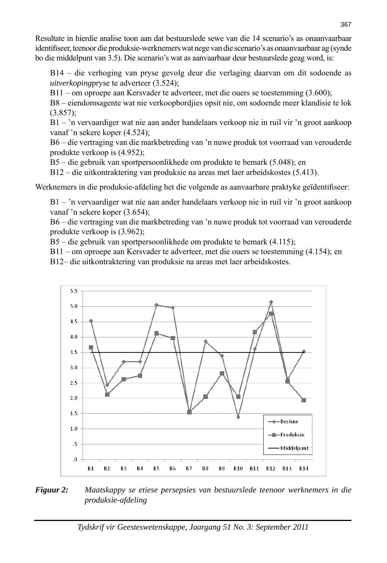Resultate in hierdie analise toon aan dat bestuurslede sewe van die 14 scenario's as onaanvaarbaar identifi seer, teenoor die produksie-werknemers wat nege van die scenario's as onaanvaarbaar ag (synde bo die middelpunt van 3.5). Die scenario's wat as aanvaarbaar deur bestuurslede geag word, is:

 B14 – die verhoging van pryse gevolg deur die verlaging daarvan om dit sodoende as *uitverkoping*pryse te adverteer (3.524);

B11 – om oproepe aan Kersvader te adverteer, met die ouers se toestemming (3.600);

 B8 – eiendomsagente wat nie verkoopbordjies opsit nie, om sodoende meer klandisie te lok (3.857);

 B1 – 'n vervaardiger wat nie aan ander handelaars verkoop nie in ruil vir 'n groot aankoop vanaf 'n sekere koper (4.524);

 B6 – die vertraging van die markbetreding van 'n nuwe produk tot voorraad van verouderde produkte verkoop is (4.952);

B5 – die gebruik van sportpersoonlikhede om produkte te bemark (5.048); en

B12 – die uitkontraktering van produksie na areas met laer arbeidskostes (5.413).

Werknemers in die produksie-afdeling het die volgende as aanvaarbare praktyke geïdentifiseer:

 B1 – 'n vervaardiger wat nie aan ander handelaars verkoop nie in ruil vir 'n groot aankoop vanaf 'n sekere koper (3.654);

 B6 – die vertraging van die markbetreding van 'n nuwe produk tot voorraad van verouderde produkte verkoop is (3.962);

B5 – die gebruik van sportpersoonlikhede om produkte te bemark (4.115);

B11 – om oproepe aan Kersvader te adverteer, met die ouers se toestemming (4.154); en

B12– die uitkontraktering van produksie na areas met laer arbeidskostes.



*Figuur 2: Maatskappy se etiese persepsies van bestuurslede teenoor werknemers in die produksie-afdeling*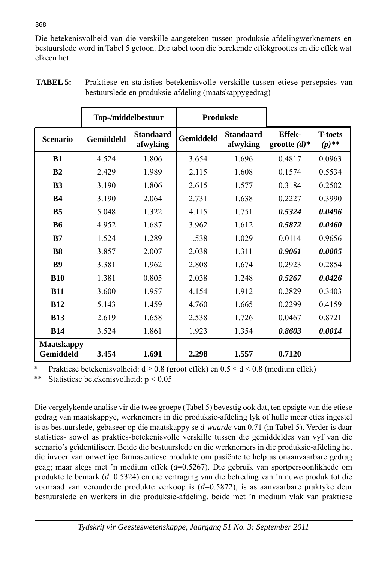Die betekenisvolheid van die verskille aangeteken tussen produksie-afdelingwerknemers en bestuurslede word in Tabel 5 getoon. Die tabel toon die berekende effekgroottes en die effek wat elkeen het.

|                                | Top-/middelbestuur |                              | <b>Produksie</b> |                              |                           |                            |
|--------------------------------|--------------------|------------------------------|------------------|------------------------------|---------------------------|----------------------------|
| <b>Scenario</b>                | Gemiddeld          | <b>Standaard</b><br>afwyking | Gemiddeld        | <b>Standaard</b><br>afwyking | Effek-<br>grootte $(d)^*$ | <b>T-toets</b><br>$(p)$ ** |
| B1                             | 4.524              | 1.806                        | 3.654            | 1.696                        | 0.4817                    | 0.0963                     |
| B <sub>2</sub>                 | 2.429              | 1.989                        | 2.115            | 1.608                        | 0.1574                    | 0.5534                     |
| B <sub>3</sub>                 | 3.190              | 1.806                        | 2.615            | 1.577                        | 0.3184                    | 0.2502                     |
| <b>B4</b>                      | 3.190              | 2.064                        | 2.731            | 1.638                        | 0.2227                    | 0.3990                     |
| <b>B5</b>                      | 5.048              | 1.322                        | 4.115            | 1.751                        | 0.5324                    | 0.0496                     |
| <b>B6</b>                      | 4.952              | 1.687                        | 3.962            | 1.612                        | 0.5872                    | 0.0460                     |
| B7                             | 1.524              | 1.289                        | 1.538            | 1.029                        | 0.0114                    | 0.9656                     |
| B <sub>8</sub>                 | 3.857              | 2.007                        | 2.038            | 1.311                        | 0.9061                    | 0.0005                     |
| <b>B9</b>                      | 3.381              | 1.962                        | 2.808            | 1.674                        | 0.2923                    | 0.2854                     |
| <b>B10</b>                     | 1.381              | 0.805                        | 2.038            | 1.248                        | 0.5267                    | 0.0426                     |
| <b>B11</b>                     | 3.600              | 1.957                        | 4.154            | 1.912                        | 0.2829                    | 0.3403                     |
| <b>B12</b>                     | 5.143              | 1.459                        | 4.760            | 1.665                        | 0.2299                    | 0.4159                     |
| <b>B13</b>                     | 2.619              | 1.658                        | 2.538            | 1.726                        | 0.0467                    | 0.8721                     |
| <b>B14</b>                     | 3.524              | 1.861                        | 1.923            | 1.354                        | 0.8603                    | 0.0014                     |
| <b>Maatskappy</b><br>Gemiddeld | 3.454              | 1.691                        | 2.298            | 1.557                        | 0.7120                    |                            |

**TABEL 5:** Praktiese en statisties betekenisvolle verskille tussen etiese persepsies van bestuurslede en produksie-afdeling (maatskappygedrag)

Praktiese betekenisvolheid: d  $\geq$  0.8 (groot effek) en 0.5  $\leq$  d < 0.8 (medium effek)

\*\* Statistiese betekenisvolheid: p < 0.05

Die vergelykende analise vir die twee groepe (Tabel 5) bevestig ook dat, ten opsigte van die etiese gedrag van maatskappye, werknemers in die produksie-afdeling lyk of hulle meer eties ingestel is as bestuurslede, gebaseer op die maatskappy se *d*-*waarde* van 0.71 (in Tabel 5). Verder is daar statisties- sowel as prakties-betekenisvolle verskille tussen die gemiddeldes van vyf van die scenario's geïdentifiseer. Beide die bestuurslede en die werknemers in die produksie-afdeling het die invoer van onwettige farmaseutiese produkte om pasiënte te help as onaanvaarbare gedrag geag; maar slegs met 'n medium effek (*d*=0.5267). Die gebruik van sportpersoonlikhede om produkte te bemark (*d*=0.5324) en die vertraging van die betreding van 'n nuwe produk tot die voorraad van verouderde produkte verkoop is (*d*=0.5872), is as aanvaarbare praktyke deur bestuurslede en werkers in die produksie-afdeling, beide met 'n medium vlak van praktiese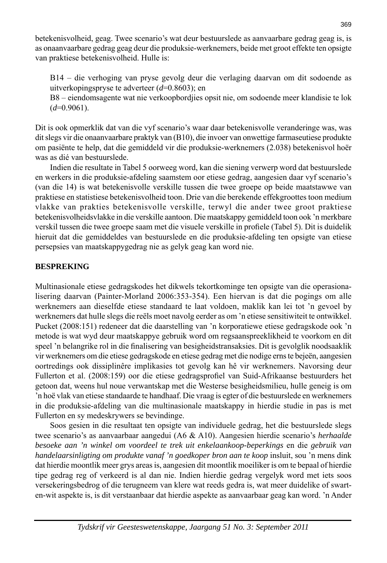betekenisvolheid, geag. Twee scenario's wat deur bestuurslede as aanvaarbare gedrag geag is, is as onaanvaarbare gedrag geag deur die produksie-werknemers, beide met groot effekte ten opsigte van praktiese betekenisvolheid. Hulle is:

 B14 – die verhoging van pryse gevolg deur die verlaging daarvan om dit sodoende as uitverkopingspryse te adverteer (*d*=0.8603); en

 B8 – eiendomsagente wat nie verkoopbordjies opsit nie, om sodoende meer klandisie te lok  $(d=0.9061)$ .

Dit is ook opmerklik dat van die vyf scenario's waar daar betekenisvolle veranderinge was, was dit slegs vir die onaanvaarbare praktyk van (B10), die invoer van onwettige farmaseutiese produkte om pasiënte te help, dat die gemiddeld vir die produksie-werknemers (2.038) betekenisvol hoër was as dié van bestuurslede.

 Indien die resultate in Tabel 5 oorweeg word, kan die siening verwerp word dat bestuurslede en werkers in die produksie-afdeling saamstem oor etiese gedrag, aangesien daar vyf scenario's (van die 14) is wat betekenisvolle verskille tussen die twee groepe op beide maatstawwe van praktiese en statistiese betekenisvolheid toon. Drie van die berekende effekgroottes toon medium vlakke van prakties betekenisvolle verskille, terwyl die ander twee groot praktiese betekenisvolheidsvlakke in die verskille aantoon. Die maatskappy gemiddeld toon ook 'n merkbare verskil tussen die twee groepe saam met die visuele verskille in profiele (Tabel 5). Dit is duidelik hieruit dat die gemiddeldes van bestuurslede en die produksie-afdeling ten opsigte van etiese persepsies van maatskappygedrag nie as gelyk geag kan word nie.

#### **BESPREKING**

Multinasionale etiese gedragskodes het dikwels tekortkominge ten opsigte van die operasionalisering daarvan (Painter-Morland 2006:353-354). Een hiervan is dat die pogings om alle werknemers aan dieselfde etiese standaard te laat voldoen, maklik kan lei tot 'n gevoel by werknemers dat hulle slegs die reëls moet navolg eerder as om 'n etiese sensitiwiteit te ontwikkel. Pucket (2008:151) redeneer dat die daarstelling van 'n korporatiewe etiese gedragskode ook 'n metode is wat wyd deur maatskappye gebruik word om regsaanspreeklikheid te voorkom en dit speel 'n belangrike rol in die finalisering van besigheidstransaksies. Dit is gevolglik noodsaaklik vir werknemers om die etiese gedragskode en etiese gedrag met die nodige erns te bejeën, aangesien oortredings ook dissiplinêre implikasies tot gevolg kan hê vir werknemers. Navorsing deur Fullerton et al. (2008:159) oor die etiese gedragsprofiel van Suid-Afrikaanse bestuurders het getoon dat, weens hul noue verwantskap met die Westerse besigheidsmilieu, hulle geneig is om 'n hoë vlak van etiese standaarde te handhaaf. Die vraag is egter of die bestuurslede en werknemers in die produksie-afdeling van die multinasionale maatskappy in hierdie studie in pas is met Fullerton en sy medeskrywers se bevindinge.

 Soos gesien in die resultaat ten opsigte van individuele gedrag, het die bestuurslede slegs twee scenario's as aanvaarbaar aangedui (A6 & A10). Aangesien hierdie scenario's *herhaalde besoeke aan 'n winkel om voordeel te trek uit enkelaankoop-beperkings* en die *gebruik van handelaarsinligting om produkte vanaf 'n goedkoper bron aan te koop* insluit, sou 'n mens dink dat hierdie moontlik meer grys areas is, aangesien dit moontlik moeiliker is om te bepaal of hierdie tipe gedrag reg of verkeerd is al dan nie. Indien hierdie gedrag vergelyk word met iets soos versekeringsbedrog of die terugneem van klere wat reeds gedra is, wat meer duidelike of swarten-wit aspekte is, is dit verstaanbaar dat hierdie aspekte as aanvaarbaar geag kan word. 'n Ander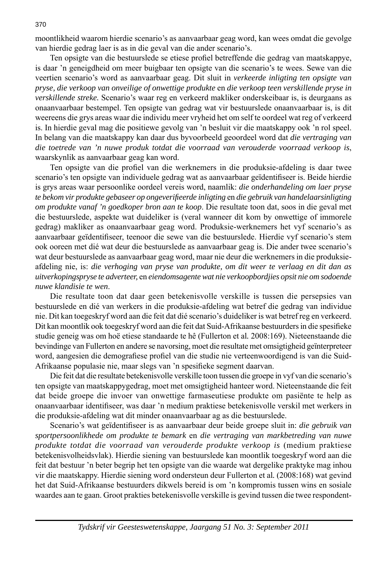moontlikheid waarom hierdie scenario's as aanvaarbaar geag word, kan wees omdat die gevolge van hierdie gedrag laer is as in die geval van die ander scenario's.

Ten opsigte van die bestuurslede se etiese profiel betreffende die gedrag van maatskappye, is daar 'n geneigdheid om meer buigbaar ten opsigte van die scenario's te wees. Sewe van die veertien scenario's word as aanvaarbaar geag. Dit sluit in *verkeerde inligting ten opsigte van pryse, die verkoop van onveilige of onwettige produkte* en *die verkoop teen verskillende pryse in verskillende streke.* Scenario's waar reg en verkeerd makliker onderskeibaar is, is deurgaans as onaanvaarbaar bestempel. Ten opsigte van gedrag wat vir bestuurslede onaanvaarbaar is, is dit weereens die grys areas waar die individu meer vryheid het om self te oordeel wat reg of verkeerd is. In hierdie geval mag die positiewe gevolg van 'n besluit vir die maatskappy ook 'n rol speel. In belang van die maatskappy kan daar dus byvoorbeeld geoordeel word dat *die vertraging van die toetrede van 'n nuwe produk totdat die voorraad van verouderde voorraad verkoop is*, waarskynlik as aanvaarbaar geag kan word.

Ten opsigte van die profiel van die werknemers in die produksie-afdeling is daar twee scenario's ten opsigte van individuele gedrag wat as aanvaarbaar geïdentifiseer is. Beide hierdie is grys areas waar persoonlike oordeel vereis word, naamlik: *die onderhandeling om laer pryse te bekom vir produkte gebaseer op ongeverifi eerde inligting* en *die gebruik van handelaarsinligting om produkte vanaf 'n goedkoper bron aan te koop*. Die resultate toon dat, soos in die geval met die bestuurslede, aspekte wat duideliker is (veral wanneer dit kom by onwettige of immorele gedrag) makliker as onaanvaarbaar geag word. Produksie-werknemers het vyf scenario's as aanvaarbaar geïdentifiseer, teenoor die sewe van die bestuurslede. Hierdie vyf scenario's stem ook ooreen met dié wat deur die bestuurslede as aanvaarbaar geag is. Die ander twee scenario's wat deur bestuurslede as aanvaarbaar geag word, maar nie deur die werknemers in die produksieafdeling nie, is: *die verhoging van pryse van produkte, om dit weer te verlaag en dit dan as uitverkopingspryse te adverteer,* en *eiendomsagente wat nie verkoopbordjies opsit nie om sodoende nuwe klandisie te wen*.

 Die resultate toon dat daar geen betekenisvolle verskille is tussen die persepsies van bestuurslede en dié van werkers in die produksie-afdeling wat betref die gedrag van individue nie. Dit kan toegeskryf word aan die feit dat dié scenario's duideliker is wat betref reg en verkeerd. Dit kan moontlik ook toegeskryf word aan die feit dat Suid-Afrikaanse bestuurders in die spesifieke studie geneig was om hoë etiese standaarde te hê (Fullerton et al*.* 2008:169). Nieteenstaande die bevindinge van Fullerton en andere se navorsing, moet die resultate met omsigtigheid geïnterpreteer word, aangesien die demografiese profiel van die studie nie verteenwoordigend is van die Suid-Afrikaanse populasie nie, maar slegs van 'n spesifieke segment daarvan.

 Die feit dat die resultate betekenisvolle verskille toon tussen die groepe in vyf van die scenario's ten opsigte van maatskappygedrag, moet met omsigtigheid hanteer word. Nieteenstaande die feit dat beide groepe die invoer van onwettige farmaseutiese produkte om pasiënte te help as onaanvaarbaar identifiseer, was daar 'n medium praktiese betekenisvolle verskil met werkers in die produksie-afdeling wat dit minder onaanvaarbaar ag as die bestuurslede.

Scenario's wat geïdentifiseer is as aanvaarbaar deur beide groepe sluit in: *die gebruik van sportpersoonlikhede om produkte te bemark* en *die vertraging van markbetreding van nuwe produkte totdat die voorraad van verouderde produkte verkoop is* (medium praktiese betekenisvolheidsvlak). Hierdie siening van bestuurslede kan moontlik toegeskryf word aan die feit dat bestuur 'n beter begrip het ten opsigte van die waarde wat dergelike praktyke mag inhou vir die maatskappy. Hierdie siening word ondersteun deur Fullerton et al*.* (2008:168) wat gevind het dat Suid-Afrikaanse bestuurders dikwels bereid is om 'n kompromis tussen wins en sosiale waardes aan te gaan. Groot prakties betekenisvolle verskille is gevind tussen die twee respondent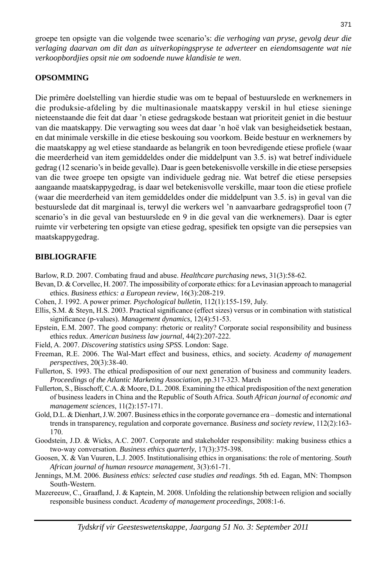groepe ten opsigte van die volgende twee scenario's: *die verhoging van pryse, gevolg deur die verlaging daarvan om dit dan as uitverkopingspryse te adverteer* en *eiendomsagente wat nie verkoopbordjies opsit nie om sodoende nuwe klandisie te wen*.

#### **OPSOMMING**

Die primêre doelstelling van hierdie studie was om te bepaal of bestuurslede en werknemers in die produksie-afdeling by die multinasionale maatskappy verskil in hul etiese sieninge nieteenstaande die feit dat daar 'n etiese gedragskode bestaan wat prioriteit geniet in die bestuur van die maatskappy. Die verwagting sou wees dat daar 'n hoë vlak van besigheidsetiek bestaan, en dat minimale verskille in die etiese beskouing sou voorkom. Beide bestuur en werknemers by die maatskappy ag wel etiese standaarde as belangrik en toon bevredigende etiese profiele (waar die meerderheid van item gemiddeldes onder die middelpunt van 3.5. is) wat betref individuele gedrag (12 scenario's in beide gevalle). Daar is geen betekenisvolle verskille in die etiese persepsies van die twee groepe ten opsigte van individuele gedrag nie. Wat betref die etiese persepsies aangaande maatskappygedrag, is daar wel betekenisvolle verskille, maar toon die etiese profiele (waar die meerderheid van item gemiddeldes onder die middelpunt van 3.5. is) in geval van die bestuurslede dat dit marginaal is, terwyl die werkers wel 'n aanvaarbare gedragsprofiel toon (7 scenario's in die geval van bestuurslede en 9 in die geval van die werknemers). Daar is egter ruimte vir verbetering ten opsigte van etiese gedrag, spesifiek ten opsigte van die persepsies van maatskappygedrag.

#### **BIBLIOGRAFIE**

Barlow, R.D. 2007. Combating fraud and abuse. *Healthcare purchasing news*, 31(3):58-62.

- Bevan, D. & Corvellec, H. 2007. The impossibility of corporate ethics: for a Levinasian approach to managerial ethics. *Business ethics: a European review*, 16(3):208-219.
- Cohen, J. 1992. A power primer. *Psychological bulletin*, 112(1):155-159, July.
- Ellis, S.M. & Steyn, H.S. 2003. Practical significance (effect sizes) versus or in combination with statistical significance (p-values). *Management dynamics*, 12(4):51-53.
- Epstein, E.M. 2007. The good company: rhetoric or reality? Corporate social responsibility and business ethics redux. *American business law journal*, 44(2):207-222.
- Field, A. 2007. *Discovering statistics using SPSS*. London: Sage.

Freeman, R.E. 2006. The Wal-Mart effect and business, ethics, and society. *Academy of management perspectives*, 20(3):38-40.

- Fullerton, S. 1993. The ethical predisposition of our next generation of business and community leaders. *Proceedings of the Atlantic Marketing Association,* pp.317-323. March
- Fullerton, S., Bisschoff, C.A. & Moore, D.L. 2008. Examining the ethical predisposition of the next generation of business leaders in China and the Republic of South Africa. *South African journal of economic and management sciences*, 11(2):157-171.
- Gold, D.L. & Dienhart, J.W. 2007. Business ethics in the corporate governance era domestic and international trends in transparency, regulation and corporate governance. *Business and society review*, 112(2):163- 170.
- Goodstein, J.D. & Wicks, A.C. 2007. Corporate and stakeholder responsibility: making business ethics a two-way conversation. *Business ethics quarterly*, 17(3):375-398.
- Goosen, X. & Van Vuuren, L.J. 2005. Institutionalising ethics in organisations: the role of mentoring. *South African journal of human resource management*, 3(3):61-71.
- Jennings, M.M. 2006. *Business ethics: selected case studies and readings*. 5th ed. Eagan, MN: Thompson South-Western.
- Mazereeuw, C., Graafland, J. & Kaptein, M. 2008. Unfolding the relationship between religion and socially responsible business conduct. *Academy of management proceedings*, 2008:1-6.